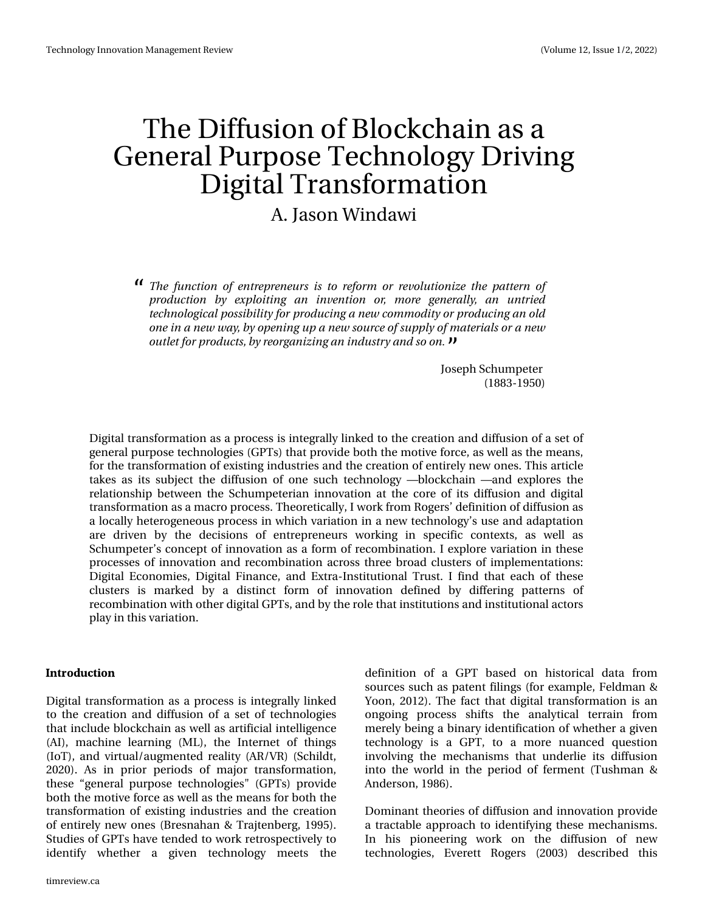# With Gliix virq ri Eor f nf kdlq dv d J hqhudo Sxusr vh Whf kqr or j | Gulylqj Glj IvdoWdqvir up dwr q

# D1Mdvr q Z lggdz l

Uif gvodypo pgfousfqsfofvst jt up sfgpsn ps sfwpmayipoj{f uif qbufso pg gspevdujpo cz fygmpiujoh bo jowfoujpo ps n psf hfofsbmz bo vousife uf dioprophic broapt ticinius opsigs of spev dioh b of x donne pejus ps qspev dioh bo prote pof job of x x bz-cz pqfojoh vq b of x tpvsdf pgtvqqma pgn bufsjbmt psb of x pv un ugos q spev dut-cz sf pshboj{joh bojoevtusz boetp po/

> Mivhsk Vfkxp shwhu  $+4$ : 604 < 83.

Gljlwdowudqvirup dw'r q dv d sur fhw lv lqwhjudool olqnhg wr wkh fuhdwlrqdqg gliix vlrq rid vhwri jhqhudosxusrvh whfkqrorjlhv +JSWv, wkdwsurylgherwk wkhprwlyhirufh/dv zhoodv wkhphdqv/ iruwkh wudqvirup dwhrqrih{lvwlqjlqgxwwdhvdqgwkh fuhdwhrqrihqwluho|qhzrqhv1Wklvduwfoh wdnhv dv lwv vxemhfw wkh gliix vlrq ri rqh vxfk whfkqrorj| ™eorfnfkdlq ™dqg h{soruhv wkh uhodwir qvkls ehwzhhq wkh Vfkxp shwhuldq lqqrydwir q dwwkh fruh ri lwr gliixvlrq dqg gljlwdo wodqvirup dw'r q dvd p dfur surfhw 1Wk hruhwfdod/Lz runiurp Urjhuw•ghilqlwlrq rigliix vlrqdv d orfdod, khwhur jhqhrxv surfhvvlqz klfk yduldw'rq lqdqhz whfkqrorj|∾v xvh dqqdgdgwdw'rq duh gulyhq e| wikh ghflvlrqv ri hqwuhsuhqhxuv zrunlqj lq vshflilf frqwh{ww/dv zhoo dv Vfkxpshwhurvfrqfhswrilqqrydwlrqdvdirup riuhfrpelqdwlrq1Lh{soruhyduldwlrqlqwkhvh surfhwhvrilgqrydwirq dqg uhfrpelqdwirq dfurw wkuhheurdg foxwhuvrilpsohphqwdwirqv= Gljlwdo Hfrqrplhv/Gljlwdo llqdqfh/dqg H{wud0Lqvwlwxwlrqdo Wuxwn/Lilqg wkdwhdfk ri wkhvh foxwhuv Iv pdunhg e| d glwllqfw irup ri lqqrydwlrq ghilqhg e| gliihulqj sdwmhuqv ri uhfrpelgdwirg z lwk rwkhugli lwdoJSWV dggel wkh urch wkdwigywhorwirgy dgglgywhorwirgdodfwruv sod|lqwklvyduldwlrq1

#### /530&6%50/

Gljiwdo wudq vir up dwlr q dv d sur fhw Iv Iqwhjudool ol qn hg wo wich fuhdwirq dqg gliix virq rid vhw riwhfk qrorjlhv wkdwlqfoxgheorfnfkdlqdvzhoodvduwiifidolqwhooljhqfh +DL,/pdfklqh ohduqlqj +PQ,/wkh Lqwhuqhwriwklqjv +LrW/dggyluwsdo2dxjphqwhguhddw|+DU2YU,+Vfklogw/ 5353,1 Dv Iq sulru shulrgv ri pdmu wudqvirupdwirq/  $uk$ hvh  $\rightarrow$  hqhudo sxusrvh whikqrorjlhv%+JSWv, surylgh erwk wkhprwlyhirufhdvzhoodvwkhphdqviruerwkwkh wudqvirup dwtrq rih{lwwlqj lqgxwwdhvdqg wkh fuhdwtrq ri hqwuhd qhz rqhv + Euhvqdkdq ) Wudmhqehuj / 4 << 8,1 Woxglhvri JSW kdyh whaghaw zrun uhwurvshfwlyhol wr Ighqwli| zkhwkhu d jlyhq whfkqrorj| phhwr wkh

whp uhylhz f d

ghilglwrg ri d JSW edvhg rg klww ulfdogdwd iurp vrxufhv vxfk dv sdwhqwildiq v +iruh{dp sdn/lhoqp dq) \rrq/5345,1Wkh idfwwkdwgljlwdowdqvirupdwlrqlvdq rqjrlqj surfhw vkliw wkh dqdqwlfdo whuudlq iurp p huhoj ehloj delo du Igho wilf dwr o rizkhwkhu djlyho whikqrorj | Iv d JSW wr d pruh qxdqfhg txhwwrq lgyroylgi wkh p hfkdglyp v wkdwxgghudh lw gliixvlrg lqwr wkh zruog lq wkh shulrg ri ihup hqw + Wkwkpdq) Dgghwr g/ $4 < 9,1$ 

Grp Iqdqwwkhrulhv rigliixvlrq dqg Iqqrydwrq surylgh d wudf wde oh dssurdfk wr Ighqwlilgj wkh vh phfkdqlvpv1 Lq klv slrqhhulqj zrun rq wkh gliixvlrq ri qhz whikqrorjlhv/ Hyhuhww Urjhuv +5336, ghviulehg wklv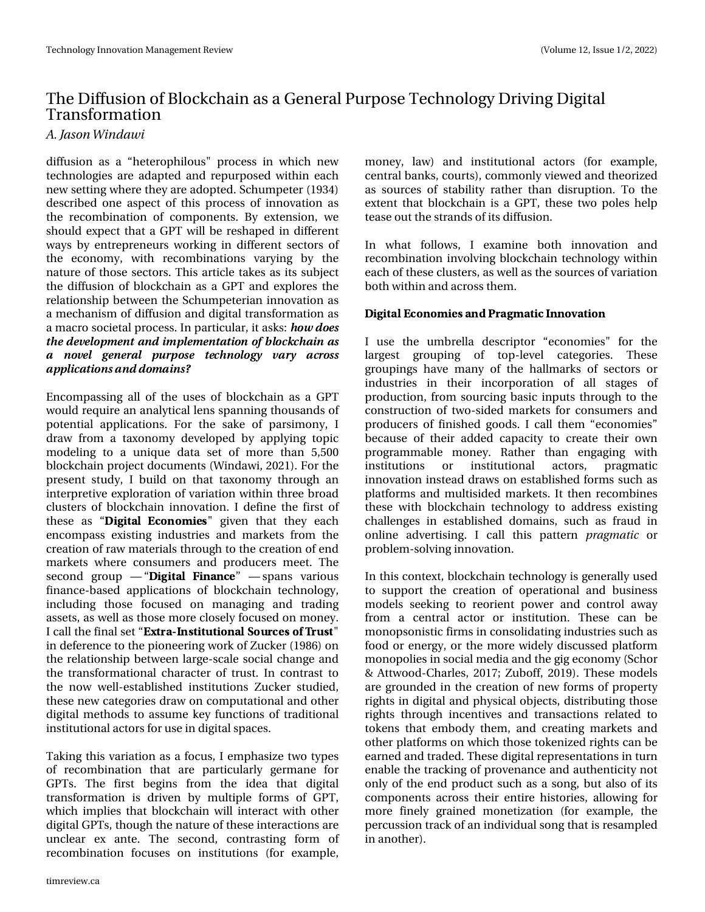# With Gliix virq ri Eorf nf kdlq dvd J hqhudo Sxusr vh Whf kqr or j | Gulylqj Glj Iwdo Wudg vir up dwtr g

### B/Kotpo X joebx j

gliixvirq dv d -khwhursklorxv%surfhw lq zklfk qhz while a jih v duh dads whan dag unstation what z lwkland ik qhz vhwliqj z khuh wkh| duh dgr swhg1Vf kxp shwhu +4<67, ghvfulehg rqh dvshfwriwklv surfhw rilqqrydwlrq dv wkh uhfrpelgdwirg rifrpsrghgwu1 E| h{whqvlrg/zh vkr x og h{shf wwkdwd JSWz loo eh uhvkdshg lg gliihuhqw zd|ve| hqwhsuhqhxuvzrunlqjlqgliihuhqwvhfwruvri wkh hfrqrp |/ zlwk uhfrpelqdwlrqv ydullqj e| wkh qdws uh ri wkr vh vhf wr uv 1 Wklv duwlf oh wdnhv dv lwr vxemlf w wkh gliix vir q ri eorfnfkdig dv d JSW dag h{sor uhv wkh uhodwir gykls ehwzh hig wich Vfkxpshwhuldgiggrydwir gdv d p hfkdqlvp rigliixvlrqdqggljlwdowdqvirupdwrqdv dpdfur vrflhwdosurfhw1Lqsduwlfxodu/lwdvnv=

Hqfrp sdwlqj doori wkh xvhv ri eorfnfkdlq dv d JSW z r x og uht xluh dq dqdq wifdodnqv vsdqqlqj wkr xvdqgv r i srwhqwldodssolfdwrqv1 Iru wkh vdnh ri sduvlprq|/L gudz iurp d wd{rqrp| ghyhorshg e| dsso|lqj wrslf prghologi wr d xgltxh gdwd vhwripruh wkdg 8/833 eor f nf kdlq sur mf wgr f xp hqw +Z lqgdz I/ 5354, 11 r uwkh suhvhqwwxg|/Lexlogrqwkdwwd{rqrp|wkurxjkdq lqwhusuhwlyh h{sorudwirq riyduldwirq zlwklq wkuhh eurdg foxwhuv ri eorfnfkdlq lqqrydwrq1Lghilqh wkh iluwwri  $\frac{1}{2}$  wkh dv -  $\frac{1}{2}$  +  $\frac{1}{2}$  +  $\frac{1}{2}$  +  $\frac{1}{2}$  / 0.  $\frac{1}{2}$  4% ilyhq wkdw wkh h hdfk hqfrpsdw h{lwwlqj lqgxwwdhvdqgpdunhww.iurpwkh fuhdwirg riudz p dwhuldov wkurxjk wrwkh fuhdwirg rihgg p dunhw z khuh frqvxp huv dqg surgxfhuv p hhwl Wkh  $v$ hfrqg jurxs ™ - +) +5#- + #/ % — ™ vsdqv ydulrxv ilqdqfh0edvhg dssolfdwlrqv ri eorfnfkdlq whfkqrorj|/ lqfoxglqj wkryh irfxyhg rq pdqdjlqj dqg wudglqj dwhw/dvzhoodvwkrvhpruhforvho|irfxvhgrqprqh|1 Lf doowkhilgdovhw-953# / 45+565+0/ #-063% 40(!3645% lq ghihuhqf h w wkh slrqhhulqj zrun ri] xfnhu +4<; 9, rq wkh uhadwir qvkls ehwzh hq adujh Ovfddh vrfldofkd qjh dqg wich wudq virup dwir q do fk dudf whu ri wux ww1 Lq frq wud www wkh qrz z hoodhwoded vkhq lqwww.wtrqv 1 x f nhu ww.glhg/ wk.hvh qhz fdwhjrulhv gudz rqfrp sxwdwlrqdodqg rwk.hu gljlwdophwkrgv wr dvvxphnh| ixqfwlrqvriwudglwlrqdo lqwww.wir qdodfwrw.irux.vhlqgljlwdovsdfhv1

Wahlqj wklvyduldwirg dv dirfxv/Lhpskdvl}h wzrwishv ri uhfrpelqdwirq wkdw.duh sduwlfxoduo| jhupdqh iru JSW 1 With iluw ehjlqv iurp with Ighd widw gljlwdo wodqvirup dw'rq Iv gulyhq e| p xowlsoh irup v ri JSW z klfk lp solhv wkdweor fnfkdlq zloolqwhudfwzlwk rwkhu glilwdoJSW wkrxik wkhodwsuh riwkh whlo whudfwlropviduh xqfohdu h{ dqwh1 Wkh vhfrqg/frqwudvwlqj irup ri uhfrpelqdwirq irfxvhv rq lqwww.wirqv +iru h{dpsdn/

prqh|/ odz, dqg lqwww.wtrqdo.dfwruv +iru h{dpsoh/ fhqwdoedgny frxuw, frp prgolythzh g dgg wkhrul hg dv vrxufhv ri vvodelolvý udvkhu vkdo, glvuxsvkro, 1 Wr vkh h{whqwwkdweorfnfkdlq lvd JSW wkh wzr sroh vkhos whold in xww.kh woudqqvrilwiglix vlrq1

Lq zkdwiroorzv/ Lh{dplqh erwk lqqrydwrq dqg uhfrpelqdwirq lqyroylqjeorfnfkdlq whfkqrorj | zlwklq hdfk riwkhvh foxwhuw/dvzhoodvwkh vrxufhvriyduldwhq er wk z lwklg dgg df ur w wkhp 1

 $+)+5$ #-  $\frac{90}{0}$ . + 4 #/ & 3#). #5+% / / 07 #5+0/

L xvh wkh xp euhood ghvfulswru - hfrqrplhv% iru wkh odujhwy jurxslqj ri wrs0dnyho fdwhjrulhv1 Wkhvh jurxslqjv kdyh pdq| ri wkh kdoop dunv ri vhfwruv ru lqgxwulhv lq wkhlu lqfrusrudwirq ri doo wodjhv ri surgxfwlrq/iurp vrxuflqjedvlflqsxwvwkurxjkwrwkh frqwuxfwlrq riwzr0vlghg pdunhwriru frqvxphuvdqg surgxfhuv riilqlvkhg jrrgv1Lfdoowkhp -hfrqrplhvehfdxvh ri wkhlu dgghg fdsdflw| wr fuhdwh wkhlu rzq surjudppdedn prqh|1 Udwkhu wkdq hqjdjlqj zlwk lqwww.wtrqv ru lqwww.wtrqdo dfwruw/ sudjpdwlf lggrydwr glgwhdg gudz y r ghwdedykhg ir up y yxfk dy sodwir up v dqg p xowlghg p dunhw1 Lwwkhq uhfrp elqhv wkh  $v$ h z lwk eorfnfkdlg whfkgrorj wr dgguh w h{lwwlgj fkdomajhvla hwoledykha arp dlav/ vxfk dviudxa la rgdgh dgyhuwlgi 1 L fdoo wklv sdwmug gsbhn buid ru surednp Ovroylgjlggrydwrg1

Lq wklvfrqwh{w/eorfnfkdlq whfkqrorj| lvjhqhudoo| xvhg www.xssruw.wkhfuhdwlrqrirshudwlrqdo.dqgex.vlqhvv prghov vhhniq i wr uhruihqwsrzhu dqg frqwurodzd iurp d fhqwudodfwru ru lqwww.wtrq1Wk.hvh fdq eh prarsvralvwhilup vlafravrdgdwajlagxwwih v x fk dv irrg ruhqhuj/ruwkhpruhzlgho| glvfxvvhg sodwirup prqrsrdhvlq vrfldophglddqg wkhjlj hfrqrp | +Vfkru ) Dw  $z$  r r g0  $F$  k dub tv/ 534: >  $x$  er ii/ 534 < 1 W k h v h p r g h ov duh jurx qghq lq wkh fuhdwhrq riqhz irup v risurshuw) ujkw lq gljlwdodqg sk|vlfdoremlfwv/glvwdexwlqjwkrvh ujkw wkurxjk lqfhqwlyhvdqg wudqvdfwlrqv uhodwhg wr w nhqv wkdw hp erg wkhp / dqg fuhdwlqj p dunhw dqg rwkhusodwirup vrqzklfk wkrvhwrnhql}hguljkwrfdqeh hdughg dag wudghg 1 Wk hvh gli I volouhs uhvhq volvir qv I q wrug hqdedn wkh wudfnlqjrisuryhqdqfh dqgdxwkhqwlflw|qrw rqq riwkh hqg surgxfwvxfk dvd vrqj/exwdovrrilwr frp srqhqw dfurw wkhlu hqwluh klwwrulhv/doorzlqjiru pruh ilghol judlghg prghwl}dwirg +iru h{dpsoh/wkh shuf xwlrq wudfnridq lqglylgxdovrqj wkdwlvuhvdpsdng lg dgrwkhu, 1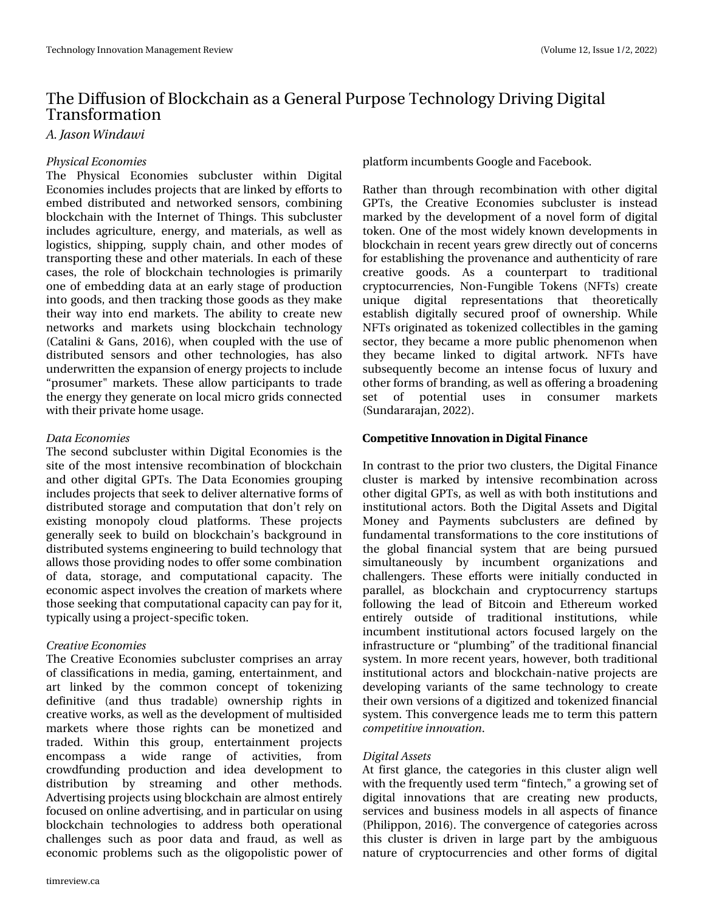# With Gliix virq ri Eorf nf kdlq dvd J hqhudo Sxusr vh Whf kqr or j | Gulylqj Glj Iwdo Wudg vir up dwtr g

B/Kotpo X joebx j

### Q ztidbmFdpopn ift

With Sklvlfdo Hfrgrpthy vxefoxwhu zlwklg Gljlwdo Hfrqrp lhvlqfoxghvsurmlfwrwkdwduhdqnhge | hiiruwwr hp ehg glwwlexwhg dag ghwzrunhg vhavruw frp elglaj eorf nf kdlq zlwk wkh Lqwhughwri Wklqjv1Wklv vxef oxwhu lqf oxghv dj ulf xow uh/ hqhuj | / dqg p dwhuldow dv z hoo dv orjiwlfv/vkissiqj/vxsso| fkdlq/dqgrwkhuprghvri wdqvsruwlqj wkhvh dqgrwkhup dwhuldov1Lq hdfk riwkhvh fdvhv/wkh urdn rieorfnfkdlqwhfkqrorjlhvlvsulpduld rqh rihp ehgglqj gdwd dwdq hduo| wwdjh risurgxfwlrq lqwr irrgy/dggwkhqwudfnlgiwkryhjrrgydywkh|pdnh wkhluzd lqw hqg p dunhwl Wkh deldw w fundwh qhz qhwzrunv dqg p dunhwr xvlqj eorfnfkdlq whfkqrorj +Fdwddql) Jdqv/5349,/zkhq frxsohg zlwk wkh xvhri glwudexwhg vhqvruv dqg rwkhu whfkqrorjlhv/kdv dovr xqghuzulwhqwkhh{sdqvlrqrihqhujsurmhfwwwlqfoxgh -survxp hu%p dunhwt Wkhyh doorz sduwilsdgw wr wudgh wkh hqhuj| wkh| jhqhudwh rq orfdop lfur julgv frqqhfwhg z lwk wkhlusulydwh krph xvdjh1

#### Ebub Fobopn jft

With whird g we fox whu z lwklg Glilwdo Hirgrp lhy Iv with vlwh riwkhprwylqwhqvlyhuhfrpelqdwlrq rieorfnfkdlq dag rwkhu glilwdo JSW 1 Wkh Gdwd Hfrarp lhy jurxslai lqf oxghvsur mif ww wkdwwhhn wr gholyhudowhuqdwlyh ir up vri glwulexwhg worudjh dqg frpsxwdwlrqwkdwgrqwwuho| rq h{lwwlqjprqrsrojforxgsodwirupv1Wkhvhsurmhfwr j hqhudooj vhhn wr exlog rq eorfnfkdlq v edfnjurxqg lq glwudexwhg v| whp v hqjlqhhulqj wrexlog whfkqrorj| wkdw door z v wkr vh sur yigiqj qrghv wr riihu vr phfrpelqdwirq ri gdwd/wwrudjh/dqg frpsxwdwlrqdo fdsdflw|1 Wkh hfrgrp If dyshfwlgyrgyhy wkh fuhdwirg ripdunhwy z khuh wkrvh.vhhnlqjwk.dwfrpsx.wdw.rqdofdsdflwlfdqsd|irulw/ wishfdool xvlqjdsurmhfw0vshflilfwrnhq1

### Dsf buwf Fdpopn jft

With Fundwigh Hifr qrp lhv vxefox whu frp sulvhy dq duud rifodwlilfdwr gylg phgld/jdplgj/hgwhuwdlgphgw/dgg duw dqnhg e| wkh frpprq frqfhswri wrnhql}lqj ghilqlwlyh +dqg wkxv wudgdeoh, rzqhuvkls uljkwv lq f uhdwlyh z r unv/dv z hoodv wkh ghyhor sp hqwr i p xowldghg p dunhwy z khuh wkryh uljkwy fdq eh prqhwl}hg dqg wdghg1 Ziwkiq wkiv jurxs/ hqwhuwdiqp hqw surmifwr hqfrpsdw d zigh udqih ri dfwlylwhy/ iurp furzgixqglqj surgxfwlrq dqg lghd ghyhorsphqwwr glwwlexwlrq e| www.hdplqj dgg rwkhu phwkrgv1 Dgyhuwldgj sur mfw xvlqj eor fnfkdlq duh dop r wwhqwluhd irfxvhgrqrqdqhdgyhuwlvlqj/dqglqsduwfxodurqxvlqj eorfnfkdlq whfkqrorjlhv wr dgguhvv erwk rshudwlrqdo fkdochqjhv vxfk dv srru gdwd dqg iudxg/dv zhoo dv hfrqrp If surednpv vxfk dv wkh roljrsrolw wf srzhu ri

sodwirup lqfxpehqwrJrjohdqgldfherrn1

Udwkhu wkdq wkurxjk uhfrpelqdwirq zlwk rwkhu gljlwdo JSWW/ wkh Fuhdwlyh Hfrqrp lhv vxefoxwhu lv lqwhdg p dunha e wkh ghyhorsp hawrid aryhoirup riglilwdo winhq1Rqhriwkhprwyzlgholnqrzqghyhorsphqwrlq eor fnfkdlq lq uhfhqw|hduvjuhz gluhfwo|rxwrifrqfhuqv iruhwdedvklqjwkh suryhqdqfh dqgdxwkhqwlflw|riuduh fuhdwlyh jrrgv1 Dv d frxqwhusduw wr wudglwlrqdo ful swrfxuuhqflhv/Qrq0lxqjledn Winhqv+QlWv, fuhdwh xqltxh glilvelo uhsuhvhqvelvlrqv vkdw vkhruhvlfdool hwdedvk gljiwdool vhfxuhg surri ri rzqhuwkis1Zkioh QI W rujigdwhg dv wrnhall ha frochfwled iv law hidplai vhfwru'wkh| ehfdphdpruh sxedf skhqrphqrqzkhq wkh ehfdph dqnhg wr gljiwdo duwzrun1 QIW kdyh  $v$ xevht xhqw $\phi$  ehfrph dq lqwhqvh irfxv ri $\alpha$ {xy dqg rwkhuirup vrieudqglqj/dvzhoodvriihulqjdeurdghqlqj vhw ri srwhqwldo xvhv lq frqvxphu pdunhwr  $\frac{4}{x}$  qgdududrdq/ 5355, 1

Lq frqw.dvwwrwkhsulruwzrfoxwhuw/wkhGljlwdollqdqfh foxwhulv pdunhg e| lqwhqvlyh uhfrpelqdwirq dfurw r wkhuglj lwdoJ SWW/dv z hoodv z lwk er wk lqwwwxwlr qv dqg Iq www.wir qdodf wr w 1 Er wk wkh GIj Iwdo Dwhwr dqg GIj Iwdo Prgh dgg Sdphaw wefoxwhu duh ghilghg el ix qgdp hqwdowd qvir up dw'r qvwr wkh fruhlqwww.w'r qvri wkh joredo ilqdqfldo v| whp wkdw duh ehlqj sxuvxhg vlp xowdqhrxvo| e| lqfxp ehqw rujdql}dwlrqv dqg fkdochqjhuv1 Wkhvh hiiruw zhuh lqlwldool frqgxfwhg lq sdudomo/ dv eorfnfkdlq dqg fu|swrfxuuhqf| woduwssv iroorzloji wkh ohdo; ri Elwfrlo; do;o; Hwkhuhxp zrunho; hqwluho| rxwlgh ri wudglwlrqdo lqwww.wlrqv/ zkloh lgfxpehqwlgwww.wirgdo.dfwruvirfx.vhgodujhojrgwkh lqiudwuxfw.uhru-soxpelqj-riwkhwudglwlrqdoilqdqfldo v| whp 1 Lq p r uh uhf hqw| hduv/krzhyhu/er wk wudglwlr qdo lgwww.wirgdo.dfwr.w.dggeorfnfkdlg0gdwlyhsurmlfwrduh ghyhorsigi yduldqwr i wkh vdph whfkgroril wr fuhdwh wkhlurzq yhuvirqvridgljlw}hgdqgwrnhql}hgilqdqfldo v| whp 1 Wk Iv frqyhujhqfh ohdgvph wrwhup wk Iv sdwhuq dpn qf y y vf joopwbyjpo1

#### EjhjubmBttfut

Dwiluwyjodqfh/wkh fdwhjrulhvlqwklv foxwhudoljqzhoo zlwk wkhiuhtxhqwo|xvhgwhup -ilqwhfk/%djurzlqjvhwri gljiwdo lqqrydwlrqv wkdw duh fuhdwlqj qhz surgxfww/ vhuylf hv dqg exvlqhw prghovlq doodvshfwriilqdqfh +Sklotssrg/5349,1Wkhfrgyhujhgfhrifdwhjrulhydfurw wklv foxwhu lv gulyhq lq odujh sduwe| wkh dp eljxrxv qdwxuh rifu|swrfxuuhqflhvdqg rwkhu irup v rigljlwdo

<sup>0. 1&#</sup>x27;5+5+7' //07#5+0/  $\neq$  + +5#-  $\neq$  #/%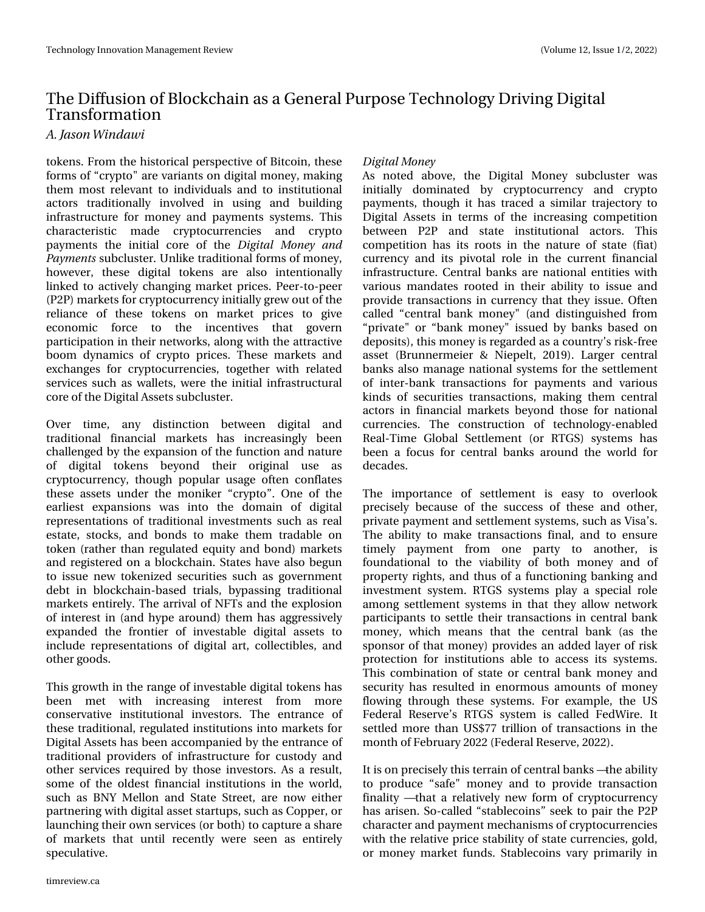# Wh Gliixvir q r i Eor f nf kdlq dv d J hqhudo Sxusr vh Whf kqr or j | Gulylqj Glj Iwdo Wudqvir up dwl rq

### B/Kbtpo X joebx j

wr nhqv1I ur p wkh klwwr ulfdoshuvshf wlyh ri Elwfrlq/ wkhvh ir up v r i –f u| swr %duh yduldqwv r q glj lwdop r qh| / p dnlqj wkhp p r wuhdnydqwwr lqglylgxdov dqg wr lqvwlwxwlr qdo df wr uv wudglwlr qdoo| lqyr oyhg lq xvlqj dqg exloglqj lqiudvwuxf wxuh ir u p r qh| dqg sd| p hqwv v| vwhp v1 Wklv f kdudf whulvwlf p dgh f u| swr f xuuhqf lhv dqg f u| swr sd| p hqw wkh lqlwldo fruh ri wkh EjhjubmN pofz boe Qbzn fout vxef oxvwhu1Xqolnh wudglwlr qdoir up v r i p r qh| / krzhyhu/ wkhvh gljiwdo wrnhqv duh dovr lqwhqwlrqdooj dqnhg wr df wlyho| f kdqj lqj p dunhwsulf hv1Shhu0wr 0shhu +S5S, p dunhwv ir uf u| swr f xuuhqf | lqlwldoo| j uhz r xwr i wkh uholdqfh ri wkhvh wrnhqv rq p dunhw sulfhv wr jlyh hf r qr p lf ir uf h wr wkh lqf hqwlyhv wkdw j r yhuq sduwlf lsdwlr q lq wkhluqhwz r unv/dor qj z lwk wkh dwudf wlyh er rp g| qdp lfv ri fu| swr sulf hv1 Wkhvh p dunhwy dqg h{f kdqj hv ir u fu| swr f xuuhqf lhv/ wr j hwkhu z lwk uhodwhg vhuylf hv vxf k dv z doohwv/ z huh wkh lqlwldolqiudvwuxf wxudo fr uhr i wkh Glj lwdoDvvhw vxef oxvwhu1

Ryhu wlp h/ dq| glvwlqfwlrq ehwz hhq glj lwdo dqg wudglwlr qdo ilqdqfldo p dunhw kdv lqf uhdvlqj q ehhq f kdoohqj hg e| wkh h{ sdqvlr q r i wkh ixqf wlr q dqg qdwxuh ri glj lwdo wrnhqv eh| rqg wkhlu rulj lqdo xvh dv f u| swr f xuuhqf | / wkr xj k sr sxodu xvdj h r iwhq f r qiodwhv wkh who dvvhw xqghu wkh p r qlnhu  $-$ f u $|$  swr $-$ 4 Rqh r i wkh hduothww h{sdqvlrqv z dv lqwr wkh grp dlq ri gljlwdo uhsuhvhqwdwlr qv r i wudglwlr qdolqyhvvp hqw vxfk dv uhdo hvwdwh/wwrfnv/dqg erqgv wr p dnh wkhp wudgdedn rq w nhq +udwkhu wkdq uhj xodwhg ht xlw dqg er qg, p dunhw dqg uhj lvwhuhg r q d eor f nf kdlq1Vwdwhv kdyh dovr ehj xq wr lvvxh qhz wr nhql}hg vhf xulwlhv vxf k dv j r yhuqp hqw ghew lq eor f nf kdlq0edvhg wuldov/e| sdvvlqj wudglwlr qdo p dunhwv hqwluho| 1Wkh duulydor i QI Wv dqg wkh h{ sor vlr q r i lqwhuhvwlq +dqg k| sh dur xqg, wkhp kdv dj j uhvvlyho| h{sdqghg wkh iurqwhu ri lqyhvwdedh gljlwdo dvvhw wr lqf oxgh uhsuhvhqwdwlr qv ri glj lwdoduw/ frochfwlednv/dqg r wkhuj r r gv1

Wklv j ur z wk lq wkh udqj h r i lqyhvwdeoh glj lwdowr nhqv kdv ehhq p hw z lwk lqfuhdvlqj lqwhuhvw iurp p ruh fr qvhuydwlyh lqvwlwxwlr qdo lqyhvwr uv1 Wkh hqwudqfh ri wkh wudglwlr qdo/ uhj xodwhg lqvwlwxwlr qv lqwr p dunhw ir u Glj lwdoDvvhwv kdv ehhq df f r p sdqlhg e| wkh hqwudqf h r i wudglwlr qdosur ylghuv r i lqiudvwuxf wxuh ir u f xvwr g| dqg r wkhu vhuylf hv uht xluhg e| wkr vh lqyhvwr uv1Dv d uhvxow/ vr p h r i wkh r oghvwilqdqf ldolqvwlwxwlr qv lq wkh z r uog/ vxf k dv EQ\ P hoor q dqg Vwdwh Vwuhhw/ duh qr z hlwkhu sduwqhulqi z lwk glj lwdodvvhwwduwxsv/ vxfk dv Frsshu'ru odxqf klqj wkhlur z q vhuylf hv +r uer wk, wr f dswxuh d vkduh  $ri$  p dunhwy wkdw xqwlo uhf hqwo $j$  z huh vhhq dv hqwluhoj vshf xodwlyh1

### $E$ jhj $\omega$ mN pof z

Dv qrwhg der yh/ wkh Glj lwdo  $P$ r qh $\vert$  vxef oxvwhu z dv lqlwldoo| gr p lqdwhg e| f u| swr f xuuhqf | dqg f u| swr sd| p hqwv/ wkr x j k lw kdv wudf hg d vlp lodu wudmhf wr u| wr Glj lwdo Dwhwy lq whup v ri wkh lqfuhdvlqj frp shwlwlrq ehwz hhq S5S dqg wdwh lqwww.wir qdo dfwr uv1 Wklv frp shwhwrq kdv lwv urrwy lq wkh qdwxuh ri vwdwh +ildw, fxuuhqf| dqg lww slyr wdo ur oh lq wkh fxuuhqw ilqdqfldo lqiudvwuxf wxuh1Fhqwudoedqnv duh qdwlr qdohqwlwlhv z lwk ydulr xv p dqgdwhv ur r whg lq wkhlu delolw| wr lwxh dqg sur ylgh wudqvdfwlr qv lq fxuuhqf | wkdwwkh | lvvxh1Riwhq f doohg –f hqwudo edqn p r qh| %+dqg glvwlqj xlvkhg iur p –sulydwh%r u –edqn p r qh| %lvvxhg e| edqnv edvhg r q ghsr vlww,/ wklvp r qh| lvuhj dughg dvd fr xqwu| •vulvn0iuhh dvvhw +Euxqqhup hlhu ) Qlhshow/ 534<,1 Oduj hu f hqwudo edqnv dovr p dqdjh qdwlr qdov whp v ir u wkh vhwohp hqw ri lqwhu0edqn wudqvdfwlr qv iru sd|p hqwv dqg ydulrxv nlqgv ri vhf xulwlhv wudqvdfwlr qv/ p dnlqj wkhp f hqwudo df wr uv lq ilqdqf ldop dunhwv eh| r qg wkr vh ir u qdwlr qdo fxuuhqflhv1 Wkh frqwwuxfwlrq ri whfkqrorj|Chqdeohg Uhdo0Wp h J or edo Vhwohp hqw +r u UWJ V, v| whp v kdv ehhq d ir f xv ir u f hqwudo edqnv dur xqg wkh z r uog ir u ghf dghv1

With Ip sruwdqfh ri vhwohp hqw Iv hdv| wr ryhuorrn suhflvho| ehf dxvh ri wkh vxff hvv ri wkhvh dqg rwkhu/ sulydwh sd| p hqwdqg vhwohp hqwv| whp v/ vxf k dv Ylvd•v1 With delow wr p dnh wudqvdf wir qv ilqdo' dqg wr hqvxuh wlp ho| sd| p hqw iur p r qh sduw| wr dqr wkhu/ lv ir xqgdwlr qdo wr wkh yldeldw| ri er wk p r qh| dqg ri sur shuw| ulj kwv/dqg wkxv rid ixqf wlr qlqj edqnlqj dqg lqyhvwp hqwv| vwhp 1 UWJ V v| vwhp v sod| d vshf ldo ur oh dp r qj vhwohp hqwv| vwhp v lq wkdwwkh| door z qhwz r un sduwlf lsdqww wr vhwoh wkhlu wudqvdfwlr qv lq fhqwudoedqn p r qh| / z klf k p hdqv wkdw wkh f hqwudo edqn +dv wkh vsr qvr ur i wkdwp r qh| , sur ylghv dq dgghg od| hur i ulvn sur whf wir q ir u lqvwlwxwlr qv deoh wr dff hvv lwr v| whp v1 Wilv frp elgdwirg ri vwdwh ru fhqwudoedgn prgh| dqg vhf xulw| kdv uhvxowhg lq hqr up r xv dp r xqwv r i p r qh| ior z lqj wkur xj k wkhvh v| vwhp v1 I r u h{dp soh/ wkh XV I hghudo Uhvhuyh•v UWJ V v| whp Iv fdahg I hgZ luh1 Lw vhwohg p r uh wkdq XV :: wulootrq ri wudqvdfwlr qv lq wkh p r qwk r i I heuxdu| 5355 +I hghudoUhvhuyh/ 5355,1

Lwlv r q suhflvho| wklv whuudlq rifhqwudoedqnv™wkhdelolw| wr surgxfh —vdih%p rqh| dqg wr surylgh wudqvdfwlrq ilqdolw| ™wkdwd uhodwlyho| qhz ir up r i f u| swr f xuuhqf | kdv dulvhq1Vr 0f doohg –vode ohfriqv—vhhn wr sdlu wkh S5S f kdudf whudqg sd| p hqwp hf kdqlvp v r i f u| swr f xuuhqf lhv z lwk wkh uhodwlyh sulf h vwdelolw| r i vwdwh f xuuhqf lhv/ j r og/ r u p r qh| p dunhwixqgv1 Vwdeohf r lqv ydu| sulp dulo| lq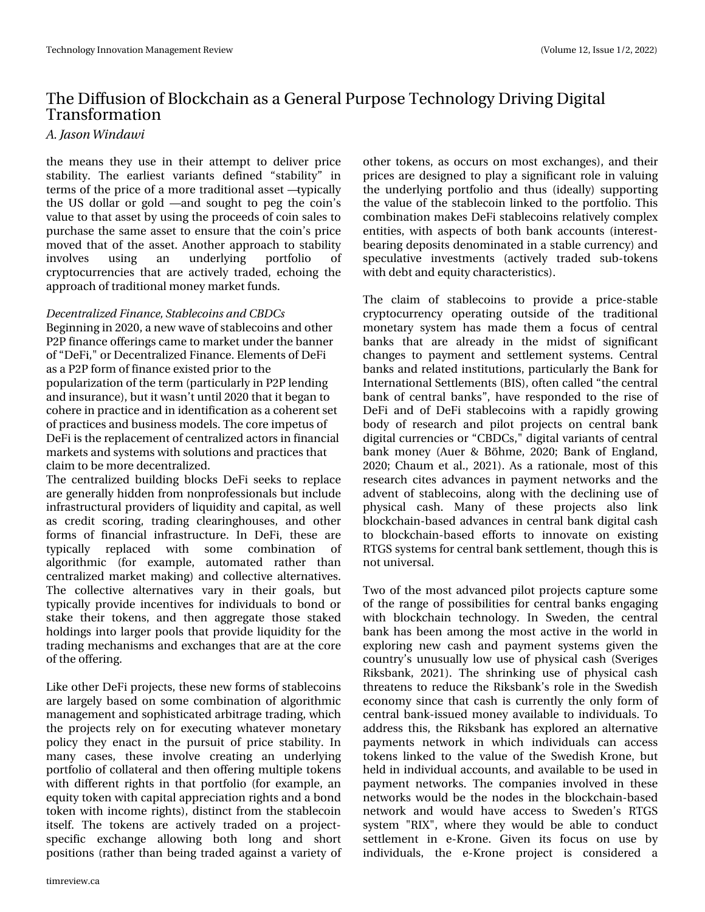# With Gliix virq ri Eorf nf kdlq dvd Jhqhudo Sxusr vh Whf kqr or j | Gulylqj Glj Iwdo Wudg vir up dwtr g

B/Kotpo X joebx j

wkh phdqv wkh| xvh lq wkhlu dwwhp swwr ghdyhu sulfh wdeldw 1 Wkh hdudhwyduldaw ghilaha -wdeldw - la whup vriwkh sulfhrid pruh wudglwtrqdodwhw™w|slfdoo| wkh XV groodu rujrog ™dqg vrxjkwwr shj wkh frlq∙v ydoxh wr wkdwdwhwe| xvlqj wkh surfhhgv rifrlq vddhv wr sxufkdvhwkh vdphdwhwwr hqvxuhwkdwwkhfrlqwsulfh pryhg wkdwriwkh dwhwl Dgrwkhudssurdfk wr wodeldwy lgyr oyhy xvlqi dq xqghudlqj sruwirdr r i ful swrfxuuhqflhv wkdwduh dfwlyhol wudghg/hfkrlqj wkh dssurdfkriwdglwr qdop rqh| p dunhwixqgv1

Ef dfousbrin(fe Gobodf-Tubcrfidpjot boe DCEDt Ehjlgglgjlg 5353/dghz z dyhriwded frlgvdggrwkhu S5S ilqdqf h riihulqj v f dp h w p dunhwxqghuwkhedqqhu ri-Ghl I/% ru Ghf hqwdd}hg I lqdqf h1Hdnp hqwri Ghl I dvd S5S ir up riilgdgfhh{lwhg sulruwr wkh srsxodul}dwirg riwkh whup +sduwlfxoduol lg S5S ohqqlqi dqg Iqvxudqf h,/exwlwz dvq wxqwlo5353 wkdwlwehjdq wr frkhuhlqsudfwlfhdqglqlghqwilfdwirqdvdfrkhuhqwwhw risudfwlfhvdqgexvlqhvvprghov1Wkhfruhlpshwxvri Ghill v wkh uh sodf hp hqwr i fhqwudd hg dfwr w lq ilqdqfldo p dunhw dag y whp y z lyk yr oxw'r gydag sudfwl hywkdw fodlp wrehpruhghfhqwudd}hg1

With fhqwudd}hg exloglqj eorfnv Ghll vhhnv wr uhsodfh duh j hqhudooj kigghq iurp qrqsurihwirqdov exwlqfoxgh lgiud wuxfw.udosurylghuv ridtxlglw) dag fdslwdol dvzhoo dv fuhglw vfrulgi/ wudglgi fohdulgikrxvhv/ dgg rwkhu irup v ri ilgdgfldo Igiudwuxfw.uh1 Lg Ghll/ wkhyh duh wislfdool uhsodfhg zlwk vrph frpelqdwlrq ri. dojrulwkplf +iru h{dpsoh/dxwrpdwhg udwkhu wkdq f hqwdd} hg p dunhwp dnlqj, dqg fr othf why downuqdwyhv1 With frochfwlyh dowhuqdwlyhv ydu| Iq wikhlu jrdov/exw wslfdool suryigh lgfhqwlyhvirulgglylgxdov wr ergg ru wodnh wkhlu wrnhqv/dqg wkhq djjuhjdwh wkrvh wodnhg kroglqjvlqwrodujhu srrov wkdwsurylgh oltxlglw|iru wkh wdglqj phfkdqlvp v dqg h{fkdqjhv wkdwduhdwwkhfruh riwkhriihulqi 1

Onh rwkhu Ghllsurmhfwy/wkh vh ghz ir up v rivwdednfrlgv duh odujhoj edvhgrq vrph frpelqdwlrq ridojrulwk plf p dqdj hp hqwdqg vr sklwl f dwhg duelwudj h wudglqj / z klf k wkh surnhfwruho| rq iru h{hfxwlqj z kdwhyhu p rqhwdu| sroff wkh hqdfwlq wkh sxuxlwrisulfh wodeldw|1 Lq pdq| fdvhv/ wkhvh lqyroyh fuhdwlqj dq xqghuqlqj sruwirdr rifroodwhudodqg wkhq riihulqj pxowlsoh wrnhqv z lwk gliihuhqwuljkwy lq wkdwsruwirdr +iru h{dp soh/dq ht xlw| wrnhq zlwk fdslwdodssuhfldwlrquljkwrdqgderqg winhq z lwk lqfrph ujkww,/glwwlqfwiurp wkh wode ohfrlq lwhoi1 Wkh wrnhqv duh dfwlyho| wudghg rq d surnhfw0 vshflilf h{fkdqjh doorzlqj erwk orqj dqg vkruw sr viwr qv + udwk hu wkdq ehlqj wudghg dj dlqwvd ydulhw) ri

rwkhuwrnhqv/dvrffxwrqprwn{fkdqjhv,/dqgwkhlu sulf hy duh ghylj ghg wr sod | d ylj glilf dgwur oh lg ydoxlgj wkh xqghuojlqj sruwirolr dqg wkxv +lghdooj, vxssruwlqj wkhydoxhriwkh wode ohfrlq olqnhg wr wkh sruwirolr 1 Wklv frpelgdwirg pdnh v Ghllwolednfrlgvuhodwiyholfrpsoh{ hqwwhy/zlwk dvshfwrierwk edgn dffrxqw+lqwhuhw0 ehdulgjghsrvlwghqrplqdwhglqdwodednfxuuhqfl,dqg vshf xodwlyh lqyhwp hqw +df wlyho wudghg vxe0wrnhqv z lwk ghewdgg ht xlw fkdudf whulw wfv, 1

With fodlp ri wodednfrlgv wr surylgh d sulfh0wodedn fu|swrfxuuhqf| rshudwlqj rxwvlgh ri wkh wudglwlrqdo prghwdu| v|whp kdv pdgh wkhp d irfxv rifhqwudo edqnv wkdw duh doundg| lq wkh plgww ri vljqlilfdqw fkdqjhv w sd|phqwdqg vhwohphqwv|whpv1Fhqwdo edgnydgg uhodwhg Igwlwxwlrgy/sduwlfxoduo) wkh Edgn iru Lawhuadwir ado Vhwoh phaw +ELV,/riwhatdoohay -wkh fhawdo edqn rifhqwudoedqnv—/kdyhuhvsrqghg wrwkhulvhri Ghll dqg ri Ghll wodednfrlqv zlwk d udslgd jurzlqj erg ri uhvhdufk dqg slorw surmhfwr rq fhqwudo edqn glj Ivdof x uuhqf Ihv r u-FEGFv/%glj Ivdoyduldqw r i fhqwdo edan prah + Dxhu) Eùkph / 5353> Edan ri Hajodag/ 5353>Fkdxp hwdd/5354,1Dvd udwlrqddn/prwriwklv uhvhdufk flwhv dgydgfhv lg sd|p hgwghwzrunv dgg wkh dgyhqwri wode ohfrlqv/dorqj zlwk wkh ghfolqlqj xvh ri sk|vlfdo fdvk1 Pdq| ri wkhvh surmlfwv dovr dqn ea f nf k dig Oedvhg dgydg f hv ig fhgwadoedgn gli i wol f dvk w eorfnfkdlq0edvhg hiiruw wr lqqrydwh rq h{lwwqj UWJ V v| whp v ir uf hqwdoedqn vhwohp hqw/wkr x j k wklv Iv gr wx glyhuvdol

Wzrriwkhprwydgydqfhgslorwsurmhfwrfdswxuh vrph ri wkh udqjh ri srvvleldwh viru fhqwudo edqn vhqjdjlqj zlwk eorfnfkdlq whfkqrorj|1 Lq Vzhghq/wkh fhqwudo edqn kdvehhq dprqjwkh prwwdfwlyh lqwkh zruoglq h{sorulqj qhz fdvk dqg sd|p hqw v| whp v jlyhq wkh frxqwu|•vxqxvxdoo| orz xvhrisk|vlfdofdvk +Vyhuljhv Ulnvedgn/ 5354,1 Wkh vkulgnigj xvh ri skj vif do fdvk wkuhdwhqvwr uhgxfhwkh Ulnvedgn wurch ig wich Vzhgivk hfrqrp | viqfh wkdwfdvk lv fxuuhqwo| wkh rqo| irup ri f hqwdoedqnOlwxhg prqh| dydlodedn wr lqglylgxdov1 W dgguhw wklv/ wkh Ulnvedqn kdv h{soruhg dq dowhuqdwlyh sd|phqw qhwzrun lq zklfk lqglylgxdov fdq dffhw winhav danha wiwkh ydoxh riwkh Vzhalvk Nurgh/exw khog lq lqglylgxdodffrxqw/dqg dydlodednw eh xvhg lq sd p haw a hwz runy 1 Wkh frp sdalhy layroyha la wkhyh qhwzrunv zrxog eh wkh qrghvlq wkh eorfnfkdlq Oedvhg ghwzrun dag zrxog kdyh dffhw wr Vzhghq•v UWJV v| whp % JU % z khuh wkh| z r x og eh dedn wr frggxfw vhwohp haw la hCNurgh1 Jlyha lw irfxv ra xvh el lqglylgxdov/ wkh hONurqh surmlfw lv frqvlghuhg d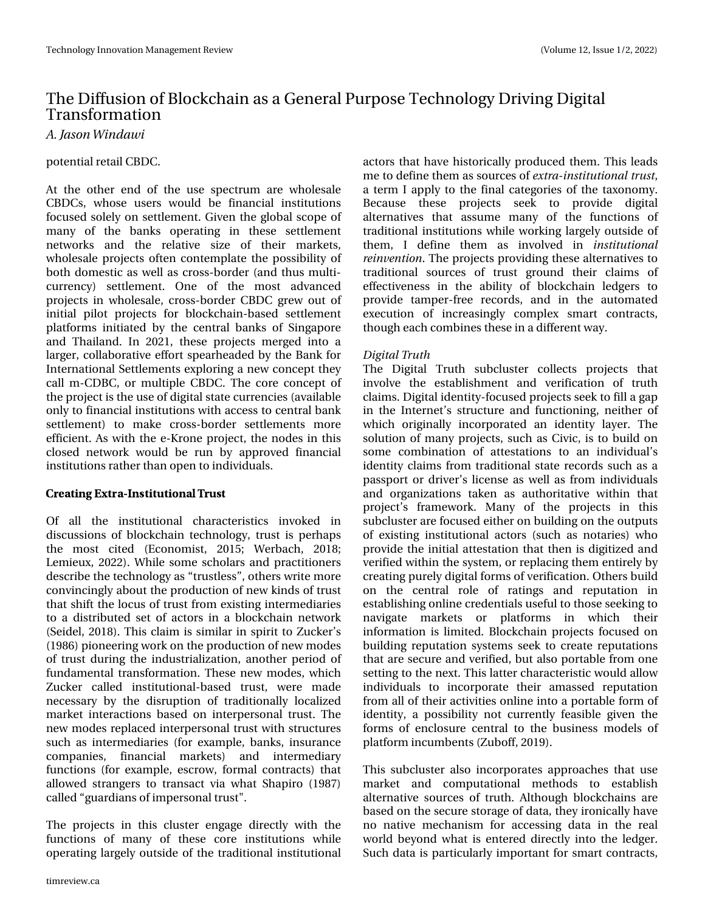# With Gliixvir q r i Eor f nf kdlq dv d J hqhudo Sxusr vh Whf kqr or j | Gulylqi Glj Iwdo Wudqvir up dwl rq

B/Kbtpo X joebx j

#### sr whq wldouhwoll of EGF1

Dw wkh r wkhu hqg r i wkh xvh vshf wuxp duh z krohvdoh FEGFv/ z kr vh x vhuv z r x og eh ilqdq fldo lq vwlwswlr qv ir f x vhg vr oho| r q vhwoolp hqw1 J lyhq wkh j or edo vf r sh r i p dq| ri wkh edqnv r shudwlqj lq wkhvh vhwwohp hqw qhwz r unv dqg wkh uhodwlyh vl}h ri wkhlu p dunhww z kr ohvdoh sur mhfwr riwhq fr qwhp sodwh wkh sr wlelolw $\gamma$  ri er wk gr p hvwlf dv z hoodv fur vv0er ughu +dqg wkxv p xowl0 f xuuhqf |, vhwoolp hqw1 Rqh ri wkh p r vw dgydqf hg sur mhf wv lq z kr ohvdoh/ f ur vv0er ughu FEGF j uhz r xwr i lqlwldo slor w sur mhfw ir u eor f nf kdlq0edvhg vhwohp hqw sodwir up v lqlwldwhg e wkh f hqwudo edqnv ri Vlqjdsruh dqg Wkdlodqg1 Lq 5354/ wkhvh sur mhf wv p huj hg lqwr d oduj hu/ f r ooder udwlyh hiir uwvshdukhdghg e| wkh Edqn ir u Lqwhuqdwlr qdoVhwohp hqwv h{ sor ulqj d qhz f r qf hswwkh| f doop 0FGEF/ r u p xowlsoh FEGF1Wkh f r uh f r qf hswr i wkhsur mhf wlv wkhxvhr i glj lwdovwdwhf xuuhqf lhv +dydlodeoh r qo| wr ilqdqf ldolqvwlwxwlr qv z lwk dff hvv wr f hqwudoedqn vhwohp hqw, wr p dnh f ur vv0er ughu vhwohp hqwv p r uh hiilf lhqw1Dv z lwk wkh h0Nur qh sur mhf w/ wkh qr ghv lq wklv f or vhg qhwz r un z r xog eh uxq e| dssur yhg ilqdqf ldo lqvwlwxwlr qvudwkhuwkdq r shq wr lqglylgxdov1

#### 3' #5+/ ) 953# / 45+565+0/ #-! 3645

Ri doo wkh lqwwlwxwlrqdo fkdudfwhulwwlfv lqyrnhg lq glvf xvvlr qv r i eor f nf kdlq whf kqr or j | / wuxvwlv shukdsv wkh p r ww flwhg  $+$ fr qr p lww/ 5348> Z huedf k/ 534; > Ohp lhx {/ 5355, 1Z kloh vrph vfkroduv dqg sudf wlw.rqhuv gh∨fuleh wkh whfkqrorj|d∨—wux∨woh∨v—/rwkhuvzulwhpruh fr qylqflqjo| der xwwkh sur gxfwlr q r i qhz nlqgv r i wuxvw wkdwvkliwwkh or f xv r i wuxvwiur p h{lvwlqj lqwhup hgldulhv wr d glwwdexwhg vhw ridfwr uv lq d eor fnfkdlq qhwz r un +Vhlgho/ 534; ,1Wklv f odlp lv vlp lodulq vslulwwr ] xf nhu•v  $+4 < 9$ , slr qhhulqj z r un r q wkh sur gxf whr q r i qhz p r ghv ri wuxwygxulqj wkh lqgxwwuldol}dwlrq/dqrwkhu shulrg ri ixqgdp hqwdowudqvir up dwlr q1Wkhvh qhz p r ghv/ z klf k ] xf nhu f doohg lqvwlwxwlr qdo0edvhg wuxvw/ z huh p dgh qhf hvvdu| e| wkh glvuxswlrq ri wudglwlrqdoo| or f dol}hg p dunhwlqwhudf wlr qv edvhg r q lqwhushuvr qdo wuxvw1 Wkh qhz p r ghv uhsodf hg lqwhushuvr qdowuxvwz lwk vwuxf wxuhv vxfk dv lqwhup hgldulhv  $\pm i$ ru h{dp soh/edqnv/lqvxudqfh f r p sdqlhv/ ilqdqf ldo p dunhwv, dqg lqwhup hgldu|  $ixqf$  whr qv  $\pm i r u$  h{dp soh/hvf urz/ir up dofrqwudfwv, wkdw door z hg vwudqj huv wr wudqvdf wyld z kdwVkdslur +4<; : , f doohg – jxdugldqv r i lp shuvr qdowux vw $\%$ 

With surnhfw Iq wklv foxvwhu hqjdjh gluhfwo| z lwk wkh ixqfwlrqv ri p dq| ri wkhvh fruh lqvwlwxwlrqv z kloh r shudwlqj odujho| r xwlgh r i wkh wudglwlr qdolqvwlwxwlr qdo df wr uv wkdwkdyh klvwr ulf doo| sur gxf hg wkhp 1Wklv ohdgv p h wr ghilqh wkhp dv vr xuf hv r i f yusb.jotujuvujpobmusvtu/ d whup Ldsso| wr wkh ilqdofdwhjrulhv ri wkh wd{r qrp | 1 Ehfdxvh wkhvh surmhfwy vhhn wr surylgh gljiwdo dowhuqdwlyhv wkdw dvvxph p dq| ri wkh ixqfwlrqv ri wudglwlr qdolqvwlwxwlr qv z kloh z r unlqj oduj ho| r xwvlgh r i wkhp / L ghilqh wkhp dv lqyr oyhg lq jotujuvujpobm sfjowfoujpo1Wkh sur mhf wr sur ylglqj wkhvh dowhuqdwlyhv wr wudglwlrqdo vrxufhv ri wuxw jurxqg wkhlu fodlp v ri hiihf wlyhqhw lq wkh delolw ri eor f nf kdlq ohgj huv wr surylgh wdp shu0iuhh uhfrugy/dqg lq wkh dxwrpdwhg h{hfxwlrq ri lqfuhdvlqjql frp soh{ vp duw frqwudfwv/ wkr xj k hdf k f r p elqhv wkhvhlq dgliihuhqwz d| 1

#### EjhjubmUsvui

With Gljiwdo Wuxwk vxefoxwhu frochfw surnhfw wkdw lqyr oyh wkh hwoded vkp hqw dqg yhulilf dwlr q ri wuxwk f odlp v1Glj lwdolghqwlw| 0ir f xvhg sur mhf wv vhhn wr ilood j ds lq wkh Lqwhuqhww www.fwxuh dqg ixqfwlr qlqj/qhlwkhu ri z klfk rulj lqdoo| lqfrusrudwhg dq lghqwlw| od| hu1 Wkh vr oxwlr q r i p dq| sur mhf wv/ vxf k dv Flylf / lv wr exlog r q vr p h f r p elqdwlr q r i dwhvwdwlr qv wr dq lqglylgxdo•v lghqwhy fodlp v iur p wudglwhr qdo wodwh uhfrugv vxfk dv d sdwsr uwr u gulyhuw of hqvh dv z hoodv iur p lqglylgxdov dqg r uj dql}dwlr qv wdnhq dv dxwkr ulwdwlyh z lwklq wkdw sur mhf who iudp hz r un 1 P dq | r i wkh sur mhf wo lq wklv  $v \times e f$  oxwhuduh ir f xvhg hlwkhur q exloglqj r q wkh r xwsxw r i h{lvwlqj lqvwlwxwlr qdo df wr uv +vxf k dv qr wdulhv, z kr sur yigh wkh iqlwdodwhwdwir q wkdwwkhq iv gij lw}hg dqg yhulilhg z lwklq wkh v| whp / r u uhsodflqj wkhp hqwluho| e| fuhdwlqj sxuho| gljlwdoirup v r i yhulilf dwlr q1Rwkhuvexlog rq wkh fhqwudo uroh ri udwlqjv dqg uhsxwdwlrq lq hvwdeolvklqj r qolqh f uhghqwldov xvhixowr wkr vh vhhnlqj wr qdyljdwh p dunhwy ru sodwirup v lq z klfk wkhlu lqir up dwlr q lv olp lwhg 1 Eor f nf kdlq sur mhfwr ir f xvhg r q exloglqj uhsxwdwlrq v| whp v vhhn wr fuhdwh uhsxwdwlrqv wkdwduh vhf xuh dqg yhulilhg/ exwdovr sr uwdeoh iur p r qh vhwlqj wr wkh qh{ w1Wklv odwhuf kdudf whulvwlf z r xog door z lqglylgxdov wr lqf r usr udwh wkhlu dp dvvhg uhsxwdwlr q iur p door i wkhlu dfwlylwlhv rqolqh lqwr d sruwdeoh ir up ri lghqwhy/d sr wleldw| qr wf xuuhqwo| ihdvleoh j lyhq wkh ir up v r i hqf or vxuh f hqwudo wr wkh exvlqhvv p r ghov r i sodwir up lqf xp ehqw + ker ii/ 534<, 1

Wilv vxef oxwhu dovr lqfrusrudwhv dssur dfkhv wkdwxvh p dunhw dqg f r p sxwdwlr qdo p hwkr gv wr hvwdeolvk dowhuqdwlyh vr xuf hv r i wuxwk1 Dowkr xj k eor f nf kdlqv duh edvhg r q wkh vhf xuh vwr udjh r i gdwd/ wkh| lur qlfdoo| kdyh qr qdwlyh p hf kdqlvp ir u df f hvvlqj gdwd lq wkh uhdo z r uog eh| r q g z kdwl v hq whuhg gluhf wo| lqwr wkh ohgj hu1 Vxfk gdwd Iv sduwlf xoduo| Ip sr uwdqwiru vp duwfr qwudf wv/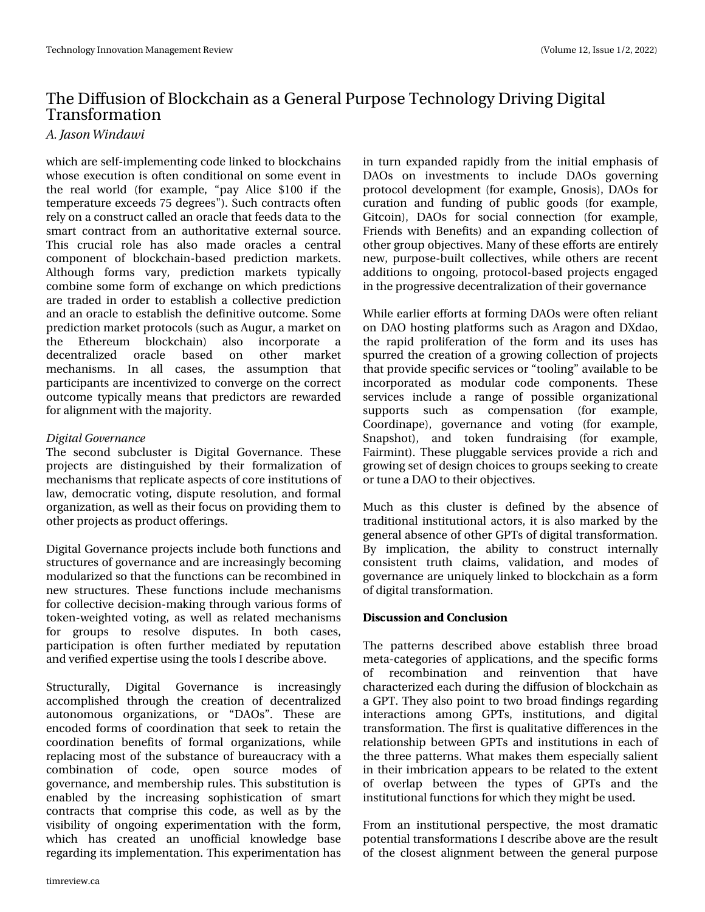# With Gliix virq ri Eorf nf kdlq dvd J hqhudo Sxusr vh Whf kqr or j | Gulylqj Glj Iwdo Wudg vir up dwtr g

### B/Kotpo X joebx j

z klfk duh vhoi Olp sohp hqwlqj frgh olqnhg wr eor fnfkdlqv z kr vh h{hf xwtr q lv riwhq fr qglwtr qdor q vr p h hyhqwlq wkh uhdo zruog +iru h{dp soh/-sd| Dolfh '433 li wkh whp shudwsuh h{fhhgv:8ghjuhhv%1Vxfkfrqwudfwrriwhq uho) rq d frq wux fwfdodng dq rudfoh wkd wihh gv gdwd wr wkh vp duw frqwudfwiurp dq dxwkrulwdwlyh h{whuqdovrxufh1 Wikly fuxfldo urch kdv dowr pdgh rudfohyd fhqwado frp srqhqw ri eorfnfkdlq Cedvhg suhglfwlrq pdunhwr1 Dowkrxjk irup v ydul/ suhglfwlrq pdunhwr w|slfdool frpelqh vrphirup rih{fkdqjh rqzklfk suhglfwlrqv duh wudghg lg rughu wr hwodedyk d frochfwlyh suhglfwlrg dqg dq rudfoh wr hwoded vk wkh ghilqlwlyh rxwfrph1Vrph suhgifwirg pdunhwsurwrfrov+w.tfk dvDxjxu/dpdunhwrg wkh Hwkhuhxp eorf nf kdlg, dovr lqfrusrudwh  $h$ ghfhqwudd}hg rudfoh edvhg  $r q$ rwkhu p dunhw phfkdqlvpv1 Lq doo fdvhv/ wkh dvvxpswlrq wkdw sduwflsdqwyduh lqfhqwlyl}hgwr frgyhujh rgwkh fruuhfw rxwfrph w|slfdoo| phdqvwkdwsuhglfwruvduh uhzdughg ir uddj qp hqwz lwk wkhp dmulw 1

### E j hj ubmHpwf sobodf

With whirdg weforwhat Iv Glilwdo Jryhuadafh 1 Withwh surnhfwr duh glwlygjxlvkhg e| wkhlu irup dol}dwlrq ri phfkdqlvp v wkdwuhsdfdwhdvshfwrrifruhlqvwlwxwlrqvri odz / ghp r fudwlf yrwlogj / glvsxwh uhvroxwlr q / dqg irup do rujdql}dwlrq/dvzhoodvwkhluirfxvrqsurylglqjwkhpwr r wkhusur mhfwrdysur gxfwriihulgi v1

Glj IwdoJryhuadqfh sur mfwr Iqfoxgh er wk ixqfwlr qv dqg wuxfwxuhvrijryhuqdqfhdqgduhlqfuhdvlqjq ehfrplqj prgxodul}hg vrwkdwwkhixqfwlrqvfdqehuhfrpelqhglq ghz wuxfw.uhv1 Wkhvh ixqfwlrgvlgfoxgh phfkdqlvpv iru frochfwlyh ghflvlrgOp dnlqjwkurxjk ydulrxvirup v ri winhq 0z hlj kwhg yr wlqj / dv z hoo dv uhodwhg p hf kdqlvp v iru jurxsv wr uhvroyh glvsxwhv1 Lq erwk fdvhv/ sduwflsdwrg Iv riwhq ixuwkhu phgldwhg e| uhsxwdwrq dqg yhuilhg h{shuwh x viqj wkh wrov Lghvfuleh der yh1

Wuxfwxudool/ Gljlvodo Jryhuqdqfh Iv Iqfuhdvlqjql dffrpsdvkhg wkurxjk wkh fuhdwlrq righfhqwudol}hg dxwrqrprxv rujdql}dwlrqv/ru -GDRv-4 Wkhvh duh hqfrghg irup v rifrruglqdwlrq wkdwwhhn wr uhwdlq wkh frruglqdwirq ehqhilwr i irup do rujdql}dwirqv/zkloh uhsodflqjprwwriwkh w.evvolgfhriexuhdxfudf|zlwkd frpelqdwirq ri frgh/rshq vrxufh prghv ri jryhugdgfh/dggphpehuvklsuxdhv1Wklvvxevwhuxwtrglv hqdedng e| wkh lqfuhdvlqj vrsklwwfdwrq ri vpduw frqwudfwy wkdw.frpsulvhyklv.frgh/dvzhoo.dve|wkh ylvleldw| ri rqjrlqj h{shulp hqwdwrq zlwk wkh irup / zklfk kdv fuhdwhg dq xqriilfldo nqrzohgjh edvh uhj duglqj lwv Ipsohphqwdwlrq1Wklvh{shulphqwdwlrqkdv

lq wxuq h{sdqghg udslgd iurp wkh lqlwldohpskdvlvri GDRv rq lqyhwp hqw w lqfoxgh GDRv jryhuqlqj surwrfroghyhorsphqw+iruh{dpsoh/Jqrvlv,/GDRviru fxudwtrq dqg ixqglqj ri sxedf jrrgv #iru h{dp sdn/ Jlwfrlg,/ GDRv iru vrfldo frgghfwlrg +iru h{dp sdn/ I uhqqvzlwk Ehqhilw, dqq dq h{sdqqlqj fromfwrq ri rwkhujurxs remlfwlyhv1Pdq|riwkhvh hiiruwduh hqwluho| qhz / sxusr vh0exlowfroohfwlyhv/zkloh rwkhuv duh uhfhqw dgglwtrqvwrrqjrlqj/surwrfro0edvhgsurmhfwrhqjdjhg lg wkh surjuh wlyh ghfhqwudd}dwrg riwkhlujryhugdgfh

Z kloh holudhu hiir uw dwir up Iqj GDRv z huh riwhq uholdqw rq GDR krwliqj sodwirup v vxfk dv Dudjrq dqg G[gdr/ wkh udsig surdihudwirq ri wkh irup dqg lww xvhv kdv vsxuuhg wkh fuhdwlrq rid jurzlqj frochfwlrq risurnhfwr wkdwsurylgh vshflilf vhuylfhvru-wrrdgj-dydlodech wreh lgfrusrudwhg dv prgxodu frgh frpsrghqww1 Wkhvh vhuylfhv lqfoxgh d udqjh ri srwledn rujdql}dwlrqdo vxssruw vxfk dv frpshqvdwlrq +iru h{dpsdn/ Frruglqdsh,/ jryhuqdqfh dqg yrwiqj +iru h{dp soh/ Vqdsvkrw/ dqg wrnhq ixqgudlvlqj +iru h{dpsdn/ I dlup lqw1 Wkhyh soxjjdedh yhuylfhy surylgh dulfk dqg jurzląj vhwrighvlją fkrlfhvwrjurxsv vhhnląj wr fuhdwh ruws qhd GDR wrwkhlurerhfwlyhv1

Pxfk dv wklv foxwhu lv ghilqhg e| wkh devhqfh ri wodglw'r gdolgwlwxw'r gdodfwr uw lwlv dowr pdunhgel wkh j ha hudode vha fhrir wkhu JSV wriglj I wdowuda virup dwira 1 E| Ipsolfdwirq/wkh delolw| wr frqwwuxfw lqwhuqdoo| frqvlvwhqw wuxwk fodlp v/yddgdwlrq/dqg prghvri jryhuqdqfh duh xqlt xho| olqnhg wr eorfnfkdlq dv dirup riglj lwdowdgvirup dw'r g1

#### $+4\%44+0$ / #  $8$  0 /  $\%64+0$

With sdwhuqv ghvfulehg der yh hvvdedvk vkuhh eurdg phwdOfdwhjrulhvridssolfdwlrqv/dqgwkh vshflilfirupv uhfrpelgdwirg dgg uhlgyhgwirg widw kdyh r i fkdudfwhul}hg hdfk gxulqjwkh gliixvlrq rieorfnfkdlqdv d JSWIWkh dovrsrlqwwrwzreurdgilgglqjvuhjduglqj lqwhudfwlrqv dprqj JSWW lqwww.wtrqv/dqggljlwdo wdqvirup dwir q1Wkh iluwwlvtxdowdwyh gliihuhqfhvlqwkh uhodwir qvkls ehwzh hq JSVW dqg lqvww.wir qvlq hdfk ri with with solwing v1 Z kdwp dnhv with physhfldgol vddhqw Iq wkhluip eufdwirg dsshduv wr eh uhodwhg wr wkh h{whqw ri ryhuods ehwzhhq wkh w|shv ri JSWv dqg wkh lqwww.wtrqdoixqfwtrqviruzklfkwkh|pljkwehxvhg1

lurp dq lqwlwxwlrqdoshuvshfwlyh/wkhprwygudpdwlf sr whaw dowday ir up dwir av Lahyfuleh der yh duh wkh uhy x av ri wkh for vhwydolj qp hqwehwzhhq wkh jhqhudosxusrvh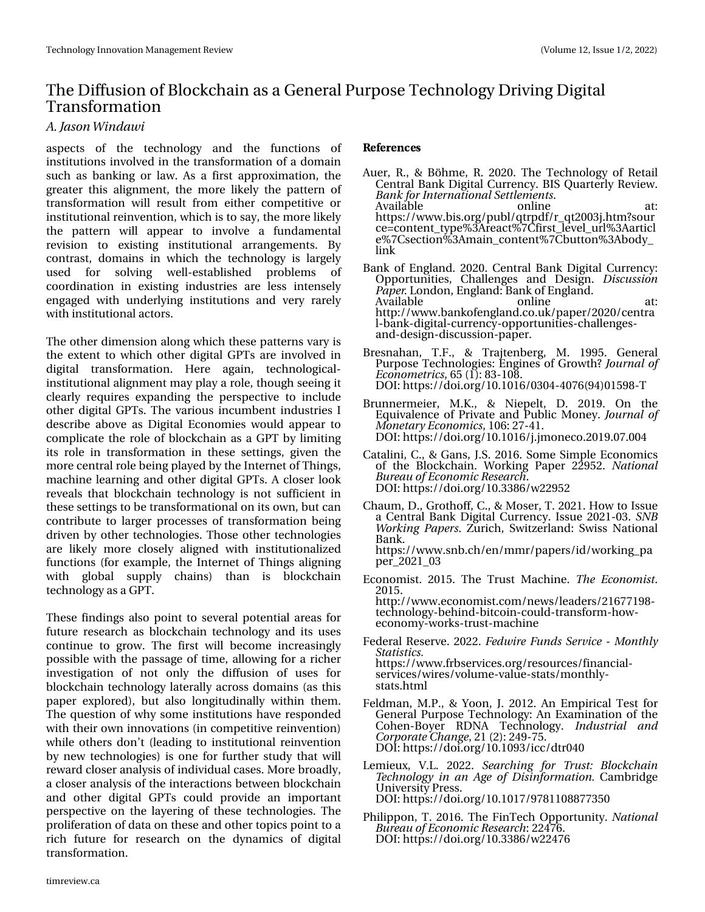# Wikh Gliixvlr q r i Eor f nf kdlq dv d J hqhudoSxusr vh Whf kqr or j | Gulylqi Glj Iwdo Wudqvir up dwl rq

B/Kbtpo X joebx i

dvshfwv ri wkh whfkqroril dqg wkh ixqfwlrqv ri lqwww.wir qv lqyr oyhg lq wkh wudqvir up dwlr q rid grp dlq  $v$ xfk dv edgnig ru odz 1 Dv d iluvwdssur {lp dwir q/ wkh j uhdwhu wklv dolj qp hqw/ wkh p r uh olnho| wkh sdwhuq r i wudqvir up dwlrg z loo uhvxow iurp hlwkhu frp shwlwlyh ru lqvwlwxwlr qdouhlqyhqwlr q/ z klf k lv wr vd| / wkh p r uh olnho| wkh sdwhuq z loo dsshdu wr lqyr oyh d ixqgdp hqwdo uhylvlr q wr h{lvwlqj lqvwlwxwlr qdo duudqj hp hqwv1 E| fr qwudvw/ grp dlqv lq z klfk wkh whfkqrorj| lv odujho| xvhg iru vroylqj zhoo0hvwdeolvkhg sureohpv ri frruglqdwirq lq h{lvwlqj lqgxvwulhv duh ohvv lqwhqvho| hqi di hg z lwk xqghuo| lqi lqvwlwxwlr qv dqg yhu| uduho| z lwk lqvwlwxwlr qdodf wr uv1

With r wkhuglp hqvlrq dor qjzklfk wkhvh sdwohuqv ydu| lv wkh h{ whqwwr z klf k r wkhu glj lwdoJ SWv duh lqyr oyhg lq glj lwdo wudqvir up dwlr q1 Khuh dj dlq/ whf kqr or j lf do0 lqvwlwxwlr qdodolj qp hqwp d| sod| d ur oh/ wkr xj k vhhlqj lw f ohduo| uht xluhv h{ sdqglqj wkh shuvsh f wlyh wr lqf oxgh r wkhu glj lwdoJ SWv1Wkh ydulr xv lqf xp ehqwlqgxvwulhv L ghvfuleh der yh dv Gljiwdo Hfrqrp lhv z r xog dsshdu wr f r p s olf dwh wkh ur oh r i eor f nf k dlq dv d JSWe | olp lwlqi lwv ur oh lq wudqvir up dwlr q lq wkhvh vhwlqj v/ j lyhq wkh p r uhf hqwudour ohehlqj sod| hg e| wkhLqwhuqhwr i Wklqj v/ p df klqh ohduqlqj dqg r wkhuglj lwdoJ SWv1D f or vhuor r n uhyhdov wkdweor f nf kdlq whf kqr or j | lv qr w vxiilf lhqwlq wkh vhw lqi v wr eh wudqvir up dwlr qdor q lwr z q/ exwf dq f r qwulexwh wr oduj hu sur f hvvhv r i wudqvir up dwlr q ehlqj gulyhq e| r wkhu whf kqr or j lhv1Wkr vh r wkhu whf kqr or j lhv duh olnho| p r uh f or vho| dolj q hg z lwk lqvwlwxwlr qdol}hg ixqfwlr qv +ir u h{dp soh/wkh Lqwhuqhwr i Wklqjv doljqlqj z lwk joredo vxsso| f kdlqv, wkdq lv eor f nf kdlq whf kqr or j | dvdJ SW1

Wikhvh ilqglqjv dovr srlqwwr vhyhudosrwhqwldoduhdv iru  $ixw$ uh uhvhduf k dv eor fnf kdlq whf kqror j | dqg lw xvhv fr qwlqxh wr jurz 1 Wkh iluw z loo ehfrp h lqfuhdvlqjq sr wleoh z lwk wkh sdwdjh r i wlp h/doorzlqj ir ud ulf khu lqyhvwljdwlrg ri qrw r qd wkh gliixvlrg ri xvhv ir u eor f nf k dlq whf kqr or j | odwhudoo| df ur vv gr p dlqv +dv wklv sdshu h{sor uhg,/ exw dowr or qj lwxglqdoo| z lwklq wkhp 1 With t xhwlr q r i z k| vr p h lqwlwxwlr qv kdyh uhvsr qghg z lwk wkhlurzqlqqrydwlrqv +lq frpshwlwlyh uhlqyhqwlrq, z kloh r wkhuv gr q w+ohdglqj wr lqvwlwxwlr qdouhlqyhqwlr q e | qhz whfkqrorjlhv, lv rqh iru ixuwkhu vwxg | wkdwz loo uhz dug for vhudqdo| vlv r i lqglylgxdof dvhv1P r uh eur dgo| / d for vhudqdo| vlv r i wkh lqwhudfwlr qv ehwz hhq eor f nf kdlq dqg r wkhu glj lwdo J SWv f r xog sur ylgh dq lp sr uwdqw shuvshf wlyh r q wkh od| hulqj r i wkhvh whfkqrorjlhv1Wkh sur dihudwir q r i gdwd r q wkhvh dqg r wkhu wr slf v srlqwwr d ulfk ixwsuh iru uhvhdufk rq wkh g| qdp lfv ri gljlwdo wudqvir up dwlr q1

' (' 3' / %4

- Dxhu/U1/) Eùkph/U153531Wkh Whfkqrorj| ri Uhwdlo FhqwudoEdqn Glj lwdoFxuuhqf | 1ELV Txduwhuo| Uhylhz 1 Cbol gps but sobulpobmTf unnn fout 1 Dydlodedn rqdqh dw≐ kwsv=22z z z 1elv1r uj 2sxeo2t wusgi2ubt w5336m1kwp Bvr xu f h@f r qwhqwbw| sh( 6Duhdf w( : Filuvwbohyhobxuo( 6Dduwlf o h( : Fvhf wlr q( 6Dp dlqbf r qwhqw( : Fexwr q( 6Der g| b dan
- Edqn r i Hqj odqg153531 Fhqwudo Edqn Glj Iwdo Fxuuhqf  $|$  = Rssr uwxqlwlhv/ Fkdoohqj hv dqg Ghvlj q1 Ejtdvttjpo Qbqf s1Or qgr q/ Hqj odqg=Edqnr i Hqj odqg1 Dydlodeoh militar riqolqh dw≐ kws=22z z z 1edqnr ihqj odqg1f r 1xn2sdshu253532f hqwud o0edqn0glj lwdo0f xuuhqf | 0r ssr uwxqlwlhv0f kdoohqj hv0 dqg0ghvlj q0glvf xvvlr q0sdshu1
- Euhvqdkdq/ W11/ ) Wudmhqehuj / P1 4<<81 J hqhudo Sxusr vh Whf kqr or j lhv=Hqj lqhv r i J ur z wkBKpvsobmpg Foloopn fusjdt/ $98 + 4, =$ ; 6043; 1 GRL=kwsv=22gr l1r uj 2431434923637073: 9+<7,348<; 0W
- Euxqqhup hlhu/ P 1N1 ) Qlhshow G1 534<1 Rq wkh Ht xlydohqf h r i Sulydwh dqg Sxeolf P r qh| 1Kpvsobmpg N pof ubsz Fdpopn ját/ 439–5: 0741 GRL=kwsv=22gr l1r uj 243143492m1mp r qhf r 1534<13: 1337
- Fdwddql/F1/) Jdqv/MN153491VrphVlpsoh Hfrqrplfv r i wkh Eor f nf kdlq1 Z r unlqj Sdshu 55<851 Obujpobm Cvsfbv pgFdpopn jdSftfbsdi 1 GRL=kwsv=22gr l1r uj 243166; 92z 55<85
- Fkdxp / G1/ Jurukrii/ F1/ ) Prvhu/ W153541Krz wr Lvvxh d FhqwudoEdqn Glj lwdoFxuuhqf | 1Lvvxh 53540361TOC X psl joh Qbqf st1] xulf k/ Vz lw}huodqg=Vz lvv Qdwlr qdo Edqn1 kwsv=22z z z 1vqe1f k2hq2p p u2sdshuv2lg2z r unlqj bsd
	- shub5354b36
- Hf r qr p lvw1 53481 Wkh WuxvwP df klqh1 Ui f Fdpopn jtu1 53481 kws=22z z z 1hf r qr p lvw1f r p 2qhz v2ohdghuv2549: : 4<; 0 whf kqr or j | 0ehklqg0elwf r lq0f r xog0wudqvir up 0kr z 0 hf r q r p | 0z r unv0wux wwo df klqh
- I hghudoUhvhuyh153551Gfex jsf Gvoet Tf swjdf. N poui ma Tubujtujdt/ kwosv=22z z z 1iuevhuylf hv1r uj 2uhvr xuf hv2ilqdqfldo0 vhuylf hv2z luhv2yr oxp h0ydoxh0vwdwv2p r qwko| 0 vwdwv1kwp o
- I hogp dq/ P 1S1/ ) \rrq/ M153451Dq Hp slulf do Whwwiru J hqhudoSxusr vh Whf kqr or j | =Dq H{dp lqdwlr q r i wkh Fr khq0Er | hu UGQD Whf kqr or j | 1 Joevtusjbm boe Dpsqpsbuf Di bohf  $/54 + 5 = 57 < 0.81$ GRL=kwsv=22gr l1r uj 243143<62lf f 2gwu373
- Ohp lhx{/ Y1O1 53551 Tfbsdi joh gps Usvtu; Cmpdl di bjo Ufdi opmphz jo bo Bhf pg Ejtjogpsn bujpo/ Fdp eulgj h Xqlyhwlw Suhw1 GRL=kwsv=22gr l1r uj 2431434: 2<: ; 443; ; : : 683
- Sklolssr q/ W153491Wkh I lqWhfk Rssruwxqlw| 1 Obujpobm Cvsfbv pgFdpopn jdSftfbsdi =557: 91 GRL=kwsv=22gr l1r uj 243166; 92z 557: 9